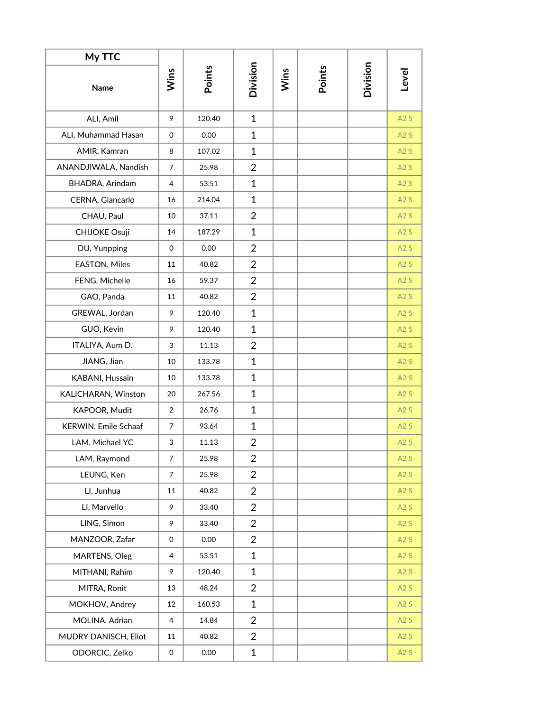| My TTC               |                |        |                |      |        |          |       |
|----------------------|----------------|--------|----------------|------|--------|----------|-------|
| Name                 | Wins           | Points | Division       | Wins | Points | Division | Level |
| ALI, Amil            | 9              | 120.40 | $\mathbf{1}$   |      |        |          | A2S   |
| ALI, Muhammad Hasan  | 0              | 0.00   | $\mathbf{1}$   |      |        |          | A2S   |
| AMIR, Kamran         | 8              | 107.02 | $\mathbf{1}$   |      |        |          | A2S   |
| ANANDJIWALA, Nandish | $\overline{7}$ | 25.98  | $\overline{2}$ |      |        |          | A2S   |
| BHADRA, Arindam      | 4              | 53.51  | $\mathbf{1}$   |      |        |          | A2S   |
| CERNA, Giancarlo     | 16             | 214.04 | $\mathbf{1}$   |      |        |          | A2S   |
| CHAU, Paul           | 10             | 37.11  | $\overline{2}$ |      |        |          | A2S   |
| <b>CHIJOKE Osuji</b> | 14             | 187.29 | $\mathbf{1}$   |      |        |          | A2S   |
| DU, Yunpping         | 0              | 0.00   | $\overline{2}$ |      |        |          | A2S   |
| EASTON, Miles        | 11             | 40.82  | $\overline{2}$ |      |        |          | A2S   |
| FENG, Michelle       | 16             | 59.37  | $\overline{2}$ |      |        |          | A2S   |
| GAO, Panda           | 11             | 40.82  | $\overline{2}$ |      |        |          | A2S   |
| GREWAL, Jordan       | 9              | 120.40 | $\mathbf{1}$   |      |        |          | A2S   |
| GUO, Kevin           | 9              | 120.40 | $\mathbf{1}$   |      |        |          | A2S   |
| ITALIYA, Aum D.      | 3              | 11.13  | $\overline{2}$ |      |        |          | A2S   |
| JIANG, Jian          | 10             | 133.78 | $\mathbf{1}$   |      |        |          | A2S   |
| KABANI, Hussain      | 10             | 133.78 | $\mathbf{1}$   |      |        |          | A2S   |
| KALICHARAN, Winston  | 20             | 267.56 | $\mathbf{1}$   |      |        |          | A2S   |
| KAPOOR, Mudit        | $\overline{2}$ | 26.76  | $\mathbf{1}$   |      |        |          | A2S   |
| KERWIN, Emile Schaaf | $\overline{7}$ | 93.64  | $\mathbf{1}$   |      |        |          | A2S   |
| LAM, Michael YC      | 3              | 11.13  | $\overline{2}$ |      |        |          | A2S   |
| LAM, Raymond         | $\overline{7}$ | 25.98  | $\overline{2}$ |      |        |          | A2S   |
| LEUNG, Ken           | $\overline{7}$ | 25.98  | $\overline{2}$ |      |        |          | A2S   |
| LI, Junhua           | 11             | 40.82  | $\overline{2}$ |      |        |          | A2S   |
| LI, Marvello         | 9              | 33.40  | $\overline{2}$ |      |        |          | A2S   |
| LING, Simon          | 9              | 33.40  | $\overline{2}$ |      |        |          | A2S   |
| MANZOOR, Zafar       | 0              | 0.00   | $\overline{2}$ |      |        |          | A2S   |
| MARTENS, Oleg        | 4              | 53.51  | $\mathbf{1}$   |      |        |          | A2S   |
| MITHANI, Rahim       | 9              | 120.40 | $\mathbf{1}$   |      |        |          | A2S   |
| MITRA, Ronit         | 13             | 48.24  | $\overline{2}$ |      |        |          | A2S   |
| MOKHOV, Andrey       | 12             | 160.53 | $\mathbf{1}$   |      |        |          | A2S   |
| MOLINA, Adrian       | 4              | 14.84  | $\overline{2}$ |      |        |          | A2S   |
| MUDRY DANISCH, Eliot | 11             | 40.82  | $\overline{2}$ |      |        |          | A2S   |
| ODORCIC, Zelko       | 0              | 0.00   | $\mathbf{1}$   |      |        |          | A2S   |